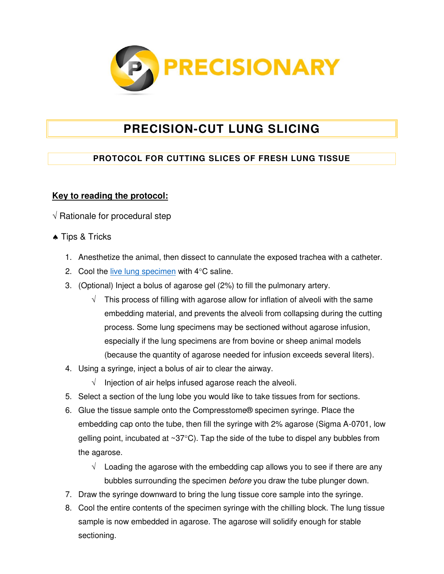

## **PRECISION-CUT LUNG SLICING**

## **PROTOCOL FOR CUTTING SLICES OF FRESH LUNG TISSUE**

## **Key to reading the protocol:**

 $\sqrt{R}$  Rationale for procedural step

- **A** Tips & Tricks
	- 1. Anesthetize the animal, then dissect to cannulate the exposed trachea with a catheter.
	- 2. Cool the [live lung specimen](http://www.precisionary.com/precision-cut-lung-slices) with  $4^{\circ}$ C saline.
	- 3. (Optional) Inject a bolus of agarose gel (2%) to fill the pulmonary artery.
		- $\sqrt{\phantom{a}}$  This process of filling with agarose allow for inflation of alveoli with the same embedding material, and prevents the alveoli from collapsing during the cutting process. Some lung specimens may be sectioned without agarose infusion, especially if the lung specimens are from bovine or sheep animal models (because the quantity of agarose needed for infusion exceeds several liters).
	- 4. Using a syringe, inject a bolus of air to clear the airway.
		- $\sqrt{\phantom{a}}$  Injection of air helps infused agarose reach the alveoli.
	- 5. Select a section of the lung lobe you would like to take tissues from for sections.
	- 6. Glue the tissue sample onto the Compresstome® specimen syringe. Place the embedding cap onto the tube, then fill the syringe with 2% agarose (Sigma A-0701, low gelling point, incubated at  $\sim 37^{\circ}$ C). Tap the side of the tube to dispel any bubbles from the agarose.
		- $\sqrt{\phantom{a}}$  Loading the agarose with the embedding cap allows you to see if there are any bubbles surrounding the specimen before you draw the tube plunger down.
	- 7. Draw the syringe downward to bring the lung tissue core sample into the syringe.
	- 8. Cool the entire contents of the specimen syringe with the chilling block. The lung tissue sample is now embedded in agarose. The agarose will solidify enough for stable sectioning.